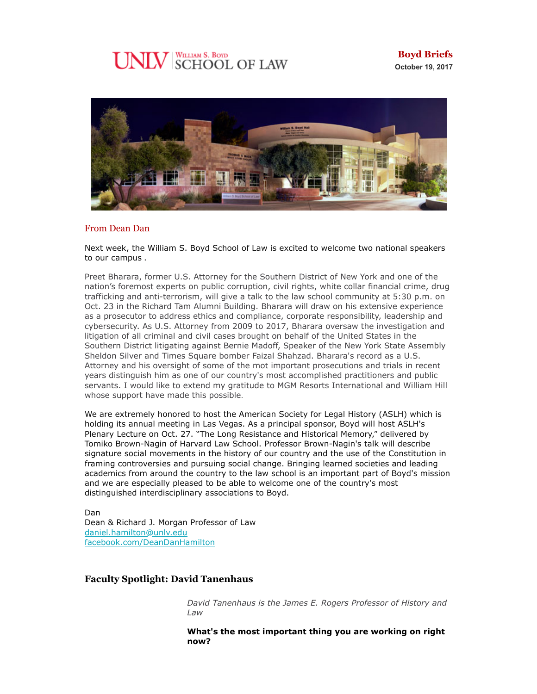# UNLV SCHOOL OF LAW



## From Dean Dan

Next week, the William S. Boyd School of Law is excited to welcome two national speakers to our campus .

Preet Bharara, former U.S. Attorney for the Southern District of New York and one of the nation's foremost experts on public corruption, civil rights, white collar financial crime, drug trafficking and anti-terrorism, will give a talk to the law school community at 5:30 p.m. on Oct. 23 in the Richard Tam Alumni Building. Bharara will draw on his extensive experience as a prosecutor to address ethics and compliance, corporate responsibility, leadership and cybersecurity. As U.S. Attorney from 2009 to 2017, Bharara oversaw the investigation and litigation of all criminal and civil cases brought on behalf of the United States in the Southern District litigating against Bernie Madoff, Speaker of the New York State Assembly Sheldon Silver and Times Square bomber Faizal Shahzad. Bharara's record as a U.S. Attorney and his oversight of some of the mot important prosecutions and trials in recent years distinguish him as one of our country's most accomplished practitioners and public servants. I would like to extend my gratitude to MGM Resorts International and William Hill whose support have made this possible.

We are extremely honored to host the American Society for Legal History (ASLH) which is holding its annual meeting in Las Vegas. As a principal sponsor, Boyd will host ASLH's Plenary Lecture on Oct. 27. "The Long Resistance and Historical Memory," delivered by Tomiko Brown-Nagin of Harvard Law School. Professor Brown-Nagin's talk will describe signature social movements in the history of our country and the use of the Constitution in framing controversies and pursuing social change. Bringing learned societies and leading academics from around the country to the law school is an important part of Boyd's mission and we are especially pleased to be able to welcome one of the country's most distinguished interdisciplinary associations to Boyd.

Dan Dean & Richard J. Morgan Professor of Law [daniel.hamilton@unlv.edu](mailto:daniel.hamilton@unlv.edu) [facebook.com/DeanDanHamilton](https://www.facebook.com/DeanDanHamilton)

# **Faculty Spotlight: David Tanenhaus**

*David Tanenhaus is the James E. Rogers Professor of History and Law*

**What's the most important thing you are working on right now?**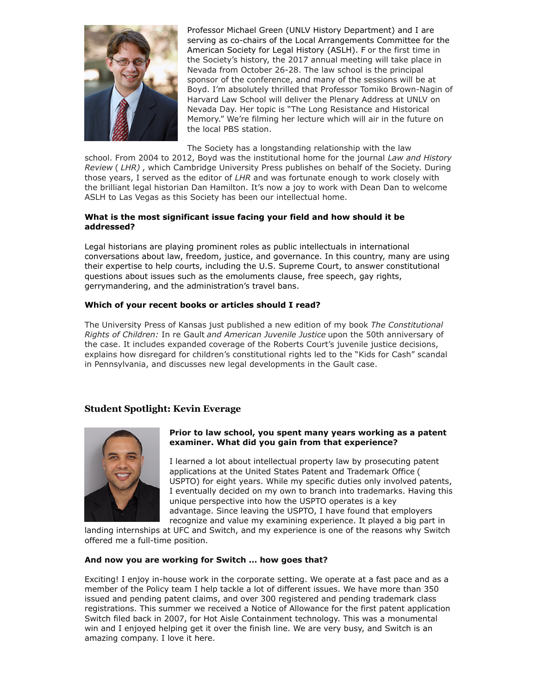

Professor Michael Green (UNLV History Department) and I are serving as co-chairs of the Local Arrangements Committee for the American Society for Legal History (ASLH). F or the first time in the Society's history, the 2017 annual meeting will take place in Nevada from October 26-28. The law school is the principal sponsor of the conference, and many of the sessions will be at Boyd. I'm absolutely thrilled that Professor Tomiko Brown-Nagin of Harvard Law School will deliver the Plenary Address at UNLV on Nevada Day. Her topic is "The Long Resistance and Historical Memory." We're filming her lecture which will air in the future on the local PBS station.

The Society has a longstanding relationship with the law

school. From 2004 to 2012, Boyd was the institutional home for the journal *Law and History Review* ( *LHR)* , which Cambridge University Press publishes on behalf of the Society. During those years, I served as the editor of *LHR* and was fortunate enough to work closely with the brilliant legal historian Dan Hamilton. It's now a joy to work with Dean Dan to welcome ASLH to Las Vegas as this Society has been our intellectual home.

## **What is the most significant issue facing your field and how should it be addressed?**

Legal historians are playing prominent roles as public intellectuals in international conversations about law, freedom, justice, and governance. In this country, many are using their expertise to help courts, including the U.S. Supreme Court, to answer constitutional questions about issues such as the emoluments clause, free speech, gay rights, gerrymandering, and the administration's travel bans.

## **Which of your recent books or articles should I read?**

The University Press of Kansas just published a new edition of my book *The Constitutional Rights of Children:* In re Gault *and American Juvenile Justice* upon the 50th anniversary of the case. It includes expanded coverage of the Roberts Court's juvenile justice decisions, explains how disregard for children's constitutional rights led to the "Kids for Cash" scandal in Pennsylvania, and discusses new legal developments in the Gault case.

# **Student Spotlight: Kevin Everage**



#### **Prior to law school, you spent many years working as a patent examiner. What did you gain from that experience?**

I learned a lot about intellectual property law by prosecuting patent applications at the United States Patent and Trademark Office ( USPTO) for eight years. While my specific duties only involved patents, I eventually decided on my own to branch into trademarks. Having this unique perspective into how the USPTO operates is a key advantage. Since leaving the USPTO, I have found that employers recognize and value my examining experience. It played a big part in

landing internships at UFC and Switch, and my experience is one of the reasons why Switch offered me a full-time position.

#### **And now you are working for Switch … how goes that?**

Exciting! I enjoy in-house work in the corporate setting. We operate at a fast pace and as a member of the Policy team I help tackle a lot of different issues. We have more than 350 issued and pending patent claims, and over 300 registered and pending trademark class registrations. This summer we received a Notice of Allowance for the first patent application Switch filed back in 2007, for Hot Aisle Containment technology. This was a monumental win and I enjoyed helping get it over the finish line. We are very busy, and Switch is an amazing company. I love it here.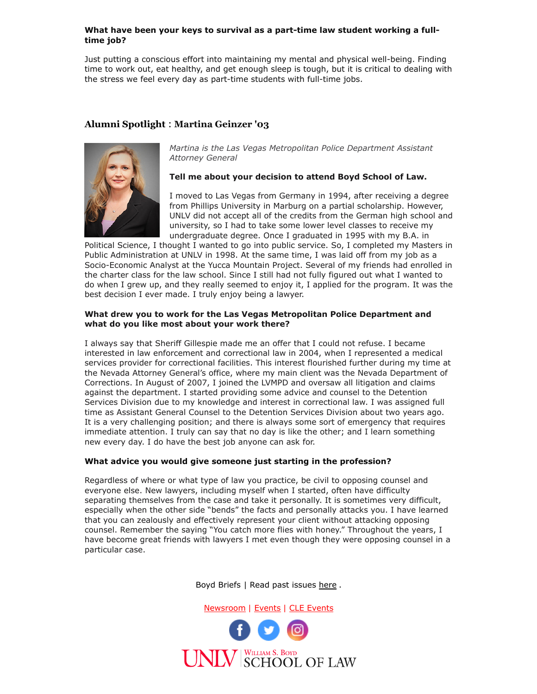#### **What have been your keys to survival as a part-time law student working a fulltime job?**

Just putting a conscious effort into maintaining my mental and physical well-being. Finding time to work out, eat healthy, and get enough sleep is tough, but it is critical to dealing with the stress we feel every day as part-time students with full-time jobs.

# **Alumni Spotlight** : **Martina Geinzer '03**



*Martina is the Las Vegas Metropolitan Police Department Assistant Attorney General*

## **Tell me about your decision to attend Boyd School of Law.**

I moved to Las Vegas from Germany in 1994, after receiving a degree from Phillips University in Marburg on a partial scholarship. However, UNLV did not accept all of the credits from the German high school and university, so I had to take some lower level classes to receive my undergraduate degree. Once I graduated in 1995 with my B.A. in

Political Science, I thought I wanted to go into public service. So, I completed my Masters in Public Administration at UNLV in 1998. At the same time, I was laid off from my job as a Socio-Economic Analyst at the Yucca Mountain Project. Several of my friends had enrolled in the charter class for the law school. Since I still had not fully figured out what I wanted to do when I grew up, and they really seemed to enjoy it, I applied for the program. It was the best decision I ever made. I truly enjoy being a lawyer.

## **What drew you to work for the Las Vegas Metropolitan Police Department and what do you like most about your work there?**

I always say that Sheriff Gillespie made me an offer that I could not refuse. I became interested in law enforcement and correctional law in 2004, when I represented a medical services provider for correctional facilities. This interest flourished further during my time at the Nevada Attorney General's office, where my main client was the Nevada Department of Corrections. In August of 2007, I joined the LVMPD and oversaw all litigation and claims against the department. I started providing some advice and counsel to the Detention Services Division due to my knowledge and interest in correctional law. I was assigned full time as Assistant General Counsel to the Detention Services Division about two years ago. It is a very challenging position; and there is always some sort of emergency that requires immediate attention. I truly can say that no day is like the other; and I learn something new every day. I do have the best job anyone can ask for.

# **What advice you would give someone just starting in the profession?**

Regardless of where or what type of law you practice, be civil to opposing counsel and everyone else. New lawyers, including myself when I started, often have difficulty separating themselves from the case and take it personally. It is sometimes very difficult, especially when the other side "bends" the facts and personally attacks you. I have learned that you can zealously and effectively represent your client without attacking opposing counsel. Remember the saying "You catch more flies with honey." Throughout the years, I have become great friends with lawyers I met even though they were opposing counsel in a particular case.

Boyd Briefs | Read past issues [here](https://law.unlv.edu/newsroom/boyd-briefs).